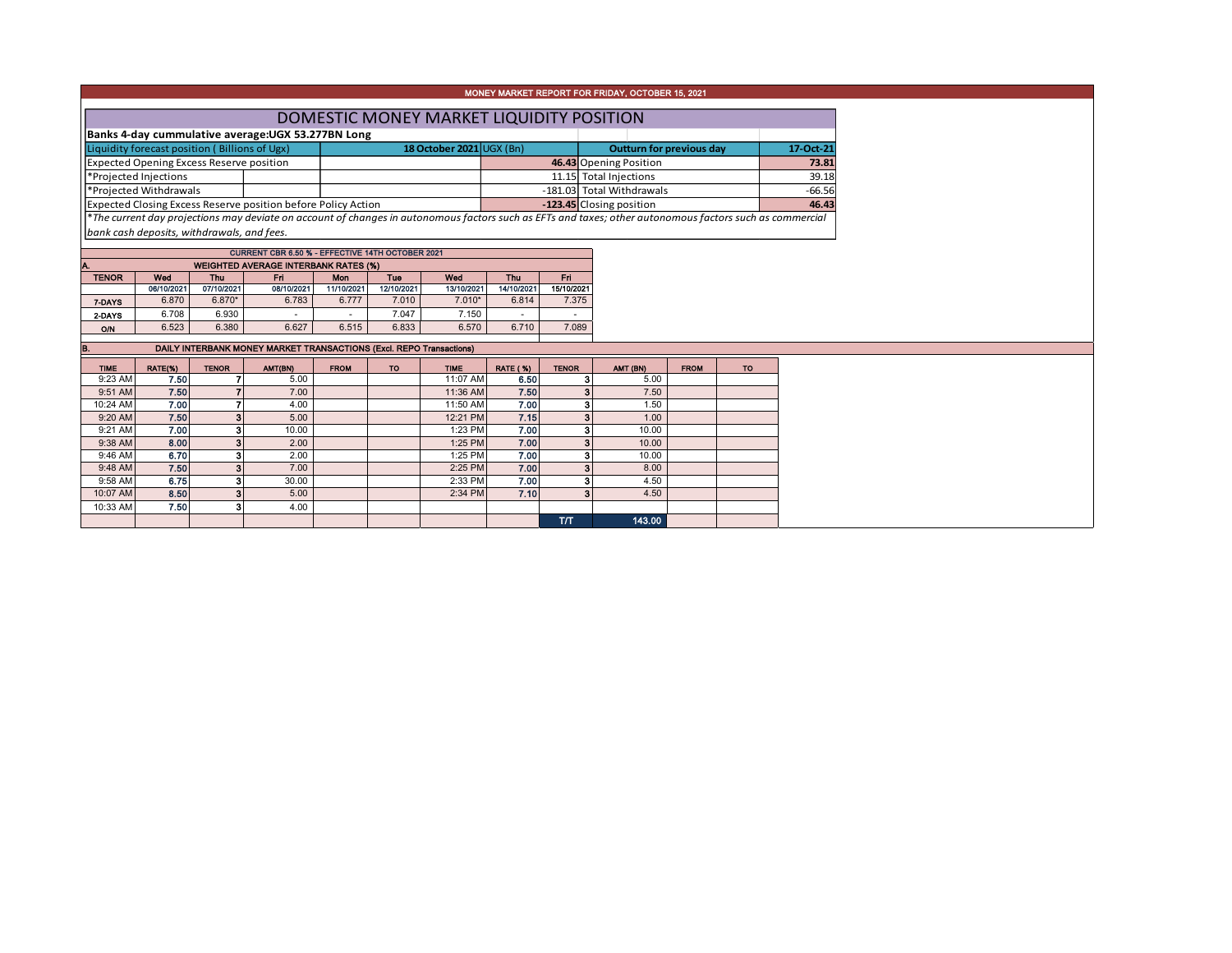|              |                                                                                                                                                          |            |                                                                      |            |                          |            |                                 |            | MONEY MARKET REPORT FOR FRIDAY, OCTOBER 15, 2021                                                                                                         |           |  |          |  |  |
|--------------|----------------------------------------------------------------------------------------------------------------------------------------------------------|------------|----------------------------------------------------------------------|------------|--------------------------|------------|---------------------------------|------------|----------------------------------------------------------------------------------------------------------------------------------------------------------|-----------|--|----------|--|--|
|              |                                                                                                                                                          |            |                                                                      |            |                          |            |                                 |            |                                                                                                                                                          |           |  |          |  |  |
|              |                                                                                                                                                          |            |                                                                      |            |                          |            |                                 |            | DOMESTIC MONEY MARKET LIQUIDITY POSITION                                                                                                                 |           |  |          |  |  |
|              |                                                                                                                                                          |            | Banks 4-day cummulative average: UGX 53.277BN Long                   |            |                          |            |                                 |            |                                                                                                                                                          |           |  |          |  |  |
|              | Liquidity forecast position (Billions of Ugx)                                                                                                            |            |                                                                      |            | 18 October 2021 UGX (Bn) |            | <b>Outturn for previous day</b> |            |                                                                                                                                                          | 17-Oct-21 |  |          |  |  |
|              | <b>Expected Opening Excess Reserve position</b>                                                                                                          |            |                                                                      |            |                          |            |                                 |            | 46.43 Opening Position                                                                                                                                   |           |  | 73.81    |  |  |
|              | *Projected Injections                                                                                                                                    |            |                                                                      |            |                          |            |                                 |            | 11.15 Total Injections                                                                                                                                   |           |  | 39.18    |  |  |
|              | *Projected Withdrawals                                                                                                                                   |            |                                                                      |            |                          |            |                                 |            | -181.03 Total Withdrawals                                                                                                                                |           |  | $-66.56$ |  |  |
|              |                                                                                                                                                          |            | <b>Expected Closing Excess Reserve position before Policy Action</b> |            |                          |            |                                 |            | -123.45 Closing position                                                                                                                                 |           |  | 46.43    |  |  |
|              |                                                                                                                                                          |            |                                                                      |            |                          |            |                                 |            | *The current day projections may deviate on account of changes in autonomous factors such as EFTs and taxes; other autonomous factors such as commercial |           |  |          |  |  |
|              | bank cash deposits, withdrawals, and fees.                                                                                                               |            |                                                                      |            |                          |            |                                 |            |                                                                                                                                                          |           |  |          |  |  |
|              |                                                                                                                                                          |            | CURRENT CBR 6.50 % - EFFECTIVE 14TH OCTOBER 2021                     |            |                          |            |                                 |            |                                                                                                                                                          |           |  |          |  |  |
| А.           |                                                                                                                                                          |            | <b>WEIGHTED AVERAGE INTERBANK RATES (%)</b>                          |            |                          |            |                                 |            |                                                                                                                                                          |           |  |          |  |  |
| <b>TENOR</b> | Wed                                                                                                                                                      | <b>Thu</b> | Fri.                                                                 | <b>Mon</b> | Tue                      | Wod        | Thu                             | Fri.       |                                                                                                                                                          |           |  |          |  |  |
|              | 06/10/2021                                                                                                                                               | 07/10/2021 | 08/10/2021                                                           | 11/10/2021 | 12/10/2021               | 13/10/2021 | 14/10/2021                      | 15/10/2021 |                                                                                                                                                          |           |  |          |  |  |
| 7-DAYS       | 6.870                                                                                                                                                    | 6.870*     | 6.783                                                                | 6.777      | 7.010                    | $7.010*$   | 6.814                           | 7.375      |                                                                                                                                                          |           |  |          |  |  |
| 2-DAYS       | 6.708                                                                                                                                                    | 6.930      |                                                                      |            | 7.047                    | 7.150      |                                 |            |                                                                                                                                                          |           |  |          |  |  |
| <b>O/N</b>   | 6.523                                                                                                                                                    | 6.380      | 6.627                                                                | 6.515      | 6.833                    | 6.570      | 6.710                           | 7.089      |                                                                                                                                                          |           |  |          |  |  |
| В.           |                                                                                                                                                          |            | DAILY INTERBANK MONEY MARKET TRANSACTIONS (Excl. REPO Transactions)  |            |                          |            |                                 |            |                                                                                                                                                          |           |  |          |  |  |
| <b>TIME</b>  | RATE(%)<br><b>TENOR</b><br>AMT(BN)<br><b>FROM</b><br><b>RATE (%)</b><br><b>TENOR</b><br>AMT (BN)<br><b>FROM</b><br><b>TO</b><br><b>TO</b><br><b>TIME</b> |            |                                                                      |            |                          |            |                                 |            |                                                                                                                                                          |           |  |          |  |  |
| 9:23 AM      | 7.50                                                                                                                                                     |            | 5.00                                                                 |            |                          | 11:07 AM   | 6.50                            |            | 3<br>5.00                                                                                                                                                |           |  |          |  |  |
| 9:51 AM      | 7.50                                                                                                                                                     |            | 7.00                                                                 |            |                          | 11:36 AM   | 7.50                            |            | 3 <sup>1</sup><br>7.50                                                                                                                                   |           |  |          |  |  |
| 10:24 AM     | 7.00                                                                                                                                                     |            | 4.00                                                                 |            |                          | 11:50 AM   | 7.00                            |            | 3<br>1.50                                                                                                                                                |           |  |          |  |  |
| 9:20 AM      | 7.50                                                                                                                                                     |            | 5.00                                                                 |            |                          | 12:21 PM   | 7.15                            |            | 3<br>1.00                                                                                                                                                |           |  |          |  |  |
| 9:21 AM      | 7.00                                                                                                                                                     | å          | 10.00                                                                |            |                          | 1:23 PM    | 7.00                            |            | 3<br>10.00                                                                                                                                               |           |  |          |  |  |
| 9:38 AM      | 8.00                                                                                                                                                     |            | 2.00                                                                 |            |                          | 1:25 PM    | 7.00                            |            | $\mathbf{3}$<br>10.00                                                                                                                                    |           |  |          |  |  |
| 9:46 AM      | 6.70                                                                                                                                                     |            | 2.00                                                                 |            |                          | 1:25 PM    | 7.00                            |            | 3<br>10.00                                                                                                                                               |           |  |          |  |  |
| 9:48 AM      | 7.50                                                                                                                                                     |            | 7.00                                                                 |            |                          | 2:25 PM    | 7.00                            |            | $\mathbf{3}$<br>8.00                                                                                                                                     |           |  |          |  |  |
| 9:58 AM      | 6.75                                                                                                                                                     | 3          | 30.00                                                                |            |                          | 2:33 PM    | 7.00                            |            | 3<br>4.50                                                                                                                                                |           |  |          |  |  |
| 10:07 AM     | 8.50                                                                                                                                                     | ٩          | 5.00                                                                 |            |                          | 2:34 PM    | 7.10                            |            | 3<br>4.50                                                                                                                                                |           |  |          |  |  |
| 10:33 AM     | 7.50                                                                                                                                                     |            | 4.00                                                                 |            |                          |            |                                 | TЛ.        | 143.00                                                                                                                                                   |           |  |          |  |  |
|              |                                                                                                                                                          |            |                                                                      |            |                          |            |                                 |            |                                                                                                                                                          |           |  |          |  |  |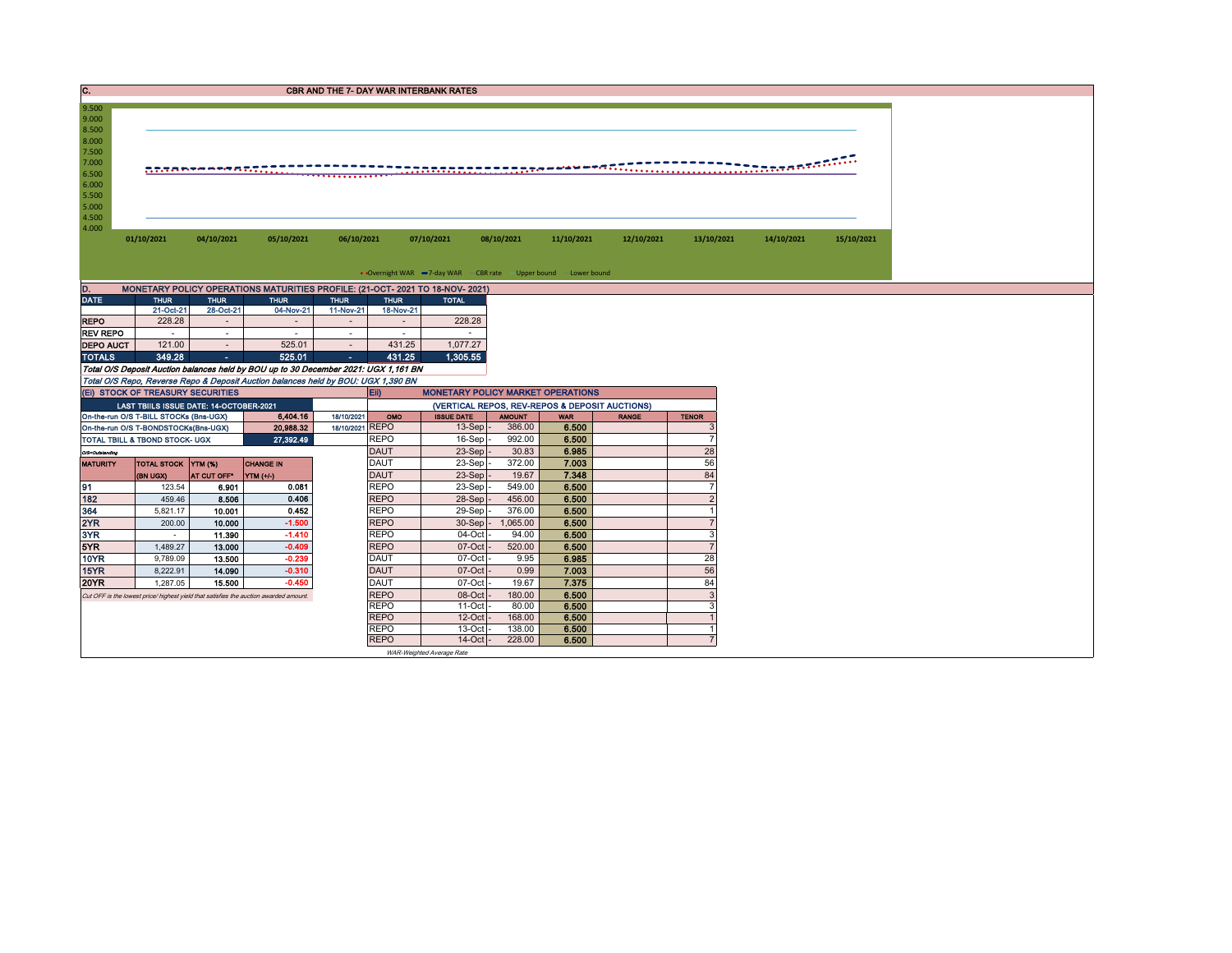| C.                                                                   |                                         |             |                                                                                       |                     |                                                | <b>CBR AND THE 7- DAY WAR INTERBANK RATES</b>                     |               |            |              |                |            |            |
|----------------------------------------------------------------------|-----------------------------------------|-------------|---------------------------------------------------------------------------------------|---------------------|------------------------------------------------|-------------------------------------------------------------------|---------------|------------|--------------|----------------|------------|------------|
| 9.500<br>9.000<br>8.500<br>8.000<br>7.500<br>7.000<br>6.500<br>6.000 |                                         |             | <u> 273878878878222222222222</u>                                                      |                     |                                                | . <del>.</del>                                                    |               |            |              |                |            |            |
| 5.500<br>5.000<br>4.500<br>4.000                                     | 01/10/2021                              | 04/10/2021  | 05/10/2021                                                                            | 06/10/2021          |                                                | 07/10/2021                                                        | 08/10/2021    | 11/10/2021 | 12/10/2021   | 13/10/2021     | 14/10/2021 | 15/10/2021 |
|                                                                      |                                         |             |                                                                                       |                     |                                                | • Overnight WAR -7-day WAR - CBR rate - Upper bound - Lower bound |               |            |              |                |            |            |
| D.                                                                   |                                         |             | MONETARY POLICY OPERATIONS MATURITIES PROFILE: (21-OCT- 2021 TO 18-NOV- 2021)         |                     |                                                |                                                                   |               |            |              |                |            |            |
| <b>DATE</b>                                                          | <b>THUR</b>                             | <b>THUR</b> | <b>THUR</b>                                                                           | <b>THUR</b>         | <b>THUR</b>                                    | <b>TOTAL</b>                                                      |               |            |              |                |            |            |
|                                                                      | 21-Oct-21                               | 28-Oct-21   | 04-Nov-21                                                                             | 11-Nov-21           | 18-Nov-21                                      |                                                                   |               |            |              |                |            |            |
| <b>REPO</b>                                                          | 228.28                                  | $\sim$      | $\sim$                                                                                | $\sim$              | $\overline{\phantom{a}}$                       | 228.28                                                            |               |            |              |                |            |            |
| <b>REV REPO</b>                                                      | $\sim$                                  | $\sim$      | $\sim$                                                                                | $\sim$              |                                                | $\sim$                                                            |               |            |              |                |            |            |
| <b>DEPO AUCT</b>                                                     | 121.00                                  | $\sim$      | 525.01                                                                                | $\sim$              | 431.25                                         | 1,077.27                                                          |               |            |              |                |            |            |
| <b>TOTALS</b>                                                        | 349.28                                  | $\sim 100$  | 525.01                                                                                | $\omega_{\rm{eff}}$ | 431.25                                         | 1.305.55                                                          |               |            |              |                |            |            |
|                                                                      |                                         |             | Total O/S Deposit Auction balances held by BOU up to 30 December 2021: UGX 1,161 BN   |                     |                                                |                                                                   |               |            |              |                |            |            |
|                                                                      |                                         |             | Total O/S Repo, Reverse Repo & Deposit Auction balances held by BOU: UGX 1,390 BN     |                     |                                                |                                                                   |               |            |              |                |            |            |
|                                                                      | (EI) STOCK OF TREASURY SECURITIES       |             |                                                                                       |                     | $E$ ii)                                        | <b>MONETARY POLICY MARKET OPERATIONS</b>                          |               |            |              |                |            |            |
|                                                                      | LAST TBIILS ISSUE DATE: 14-OCTOBER-2021 |             |                                                                                       |                     | (VERTICAL REPOS, REV-REPOS & DEPOSIT AUCTIONS) |                                                                   |               |            |              |                |            |            |
|                                                                      | On-the-run O/S T-BILL STOCKs (Bns-UGX)  |             | 6,404.16                                                                              | 18/10/2021          | OMO                                            | <b>ISSUE DATE</b>                                                 | <b>AMOUNT</b> | <b>WAR</b> | <b>RANGE</b> | <b>TENOR</b>   |            |            |
|                                                                      | On-the-run O/S T-BONDSTOCKs(Bns-UGX)    |             | 20,988.32                                                                             | 18/10/2021 REPO     |                                                | 13-Sep                                                            | 386.00        | 6.500      |              | 3              |            |            |
|                                                                      | TOTAL TBILL & TBOND STOCK- UGX          |             | 27,392.49                                                                             |                     | <b>REPO</b>                                    | 16-Sep                                                            | 992.00        | 6.500      |              | $\overline{7}$ |            |            |
| O/S=Outstanding                                                      |                                         |             |                                                                                       |                     | <b>DAUT</b>                                    | 23-Sep                                                            | 30.83         | 6.985      |              | 28             |            |            |
| <b>MATURITY</b>                                                      | TOTAL STOCK YTM (%)                     |             | <b>CHANGE IN</b>                                                                      |                     | <b>DAUT</b>                                    | 23-Sep                                                            | 372.00        | 7.003      |              | 56             |            |            |
|                                                                      | (BN UGX)                                | AT CUT OFF* | YTM (+/-)                                                                             |                     | <b>DAUT</b>                                    | 23-Sep                                                            | 19.67         | 7.348      |              | 84             |            |            |
| 91                                                                   | 123.54                                  | 6.901       | 0.081                                                                                 |                     | <b>REPO</b>                                    | 23-Sep                                                            | 549.00        | 6.500      |              | $\overline{7}$ |            |            |
| 182                                                                  | 459.46                                  | 8.506       | 0.406                                                                                 |                     | <b>REPO</b>                                    | 28-Sep                                                            | 456.00        | 6.500      |              | $\overline{2}$ |            |            |
| 364                                                                  | 5,821.17                                | 10.001      | 0.452                                                                                 |                     | <b>REPO</b>                                    | 29-Sep                                                            | 376.00        | 6.500      |              |                |            |            |
| 2YR                                                                  | 200.00                                  | 10.000      | $-1.500$                                                                              |                     | <b>REPO</b>                                    | 30-Sep                                                            | 1,065.00      | 6.500      |              | $\overline{7}$ |            |            |
| 3YR                                                                  | $\sim$                                  | 11.390      | $-1.410$                                                                              |                     | <b>REPO</b>                                    | 04-Oct                                                            | 94.00         | 6.500      |              | 3              |            |            |
| 5YR                                                                  | 1,489.27                                | 13.000      | $-0.409$                                                                              |                     | <b>REPO</b>                                    | 07-Oct                                                            | 520.00        | 6.500      |              | $\overline{7}$ |            |            |
| 10YR                                                                 | 9,789.09                                | 13.500      | $-0.239$                                                                              |                     | <b>DAUT</b>                                    | 07-Oct                                                            | 9.95          | 6.985      |              | 28             |            |            |
| 15YR                                                                 | 8.222.91                                | 14.090      | $-0.310$                                                                              |                     | <b>DAUT</b>                                    | 07-Oct                                                            | 0.99          | 7.003      |              | 56             |            |            |
| <b>20YR</b>                                                          |                                         |             | $-0.450$                                                                              |                     | <b>DAUT</b>                                    | 07-Oct                                                            |               | 7.375      |              | 84             |            |            |
|                                                                      | 1,287.05                                | 15.500      |                                                                                       |                     |                                                |                                                                   | 19.67         |            |              |                |            |            |
|                                                                      |                                         |             | Cut OFF is the lowest price/ highest yield that satisfies the auction awarded amount. |                     | <b>REPO</b>                                    | 08-Oct                                                            | 180.00        | 6.500      |              | 3              |            |            |
|                                                                      |                                         |             |                                                                                       |                     | <b>REPO</b>                                    | $11-Oct$                                                          | 80.00         | 6.500      |              | 3              |            |            |
|                                                                      |                                         |             |                                                                                       |                     | <b>REPO</b>                                    | $12$ -Oct                                                         | 168,00        | 6.500      |              | $\overline{1}$ |            |            |
|                                                                      |                                         |             |                                                                                       |                     | <b>REPO</b>                                    | 13-Oct                                                            | 138.00        | 6.500      |              | $\overline{1}$ |            |            |
|                                                                      |                                         |             |                                                                                       |                     | <b>REPO</b>                                    | $14$ -Oct                                                         | 228.00        | 6.500      |              | $\overline{7}$ |            |            |
|                                                                      |                                         |             |                                                                                       |                     |                                                | WAR-Weighted Average Rate                                         |               |            |              |                |            |            |